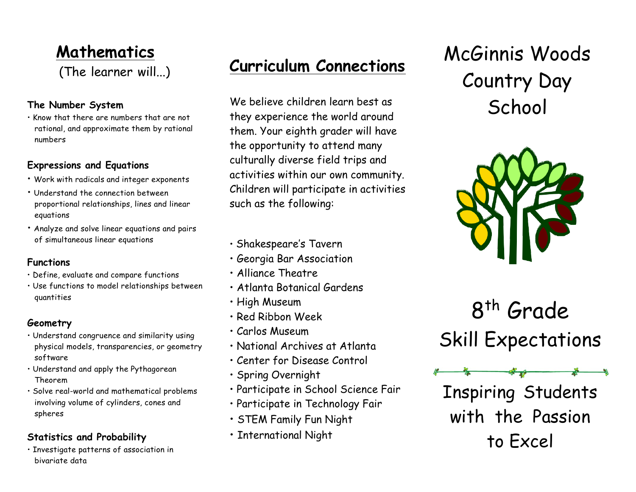## **Mathematics**

(The learner will...)

#### **The Number System**

• Know that there are numbers that are not rational, and approximate them by rational numbers

#### **Expressions and Equations**

- Work with radicals and integer exponents
- Understand the connection between proportional relationships, lines and linear equations
- Analyze and solve linear equations and pairs of simultaneous linear equations

### **Functions**

- Define, evaluate and compare functions
- Use functions to model relationships between quantities

### **Geometry**

- Understand congruence and similarity using physical models, transparencies, or geometry software
- Understand and apply the Pythagorean Theorem
- Solve real-world and mathematical problems involving volume of cylinders, cones and spheres

### **Statistics and Probability**

• Investigate patterns of association in bivariate data

## **Curriculum Connections**

We believe children learn best as they experience the world around them. Your eighth grader will have the opportunity to attend many culturally diverse field trips and activities within our own community. Children will participate in activities such as the following:

- Shakespeare's Tavern
- Georgia Bar Association
- Alliance Theatre
- Atlanta Botanical Gardens
- High Museum
- Red Ribbon Week
- Carlos Museum
- National Archives at Atlanta
- Center for Disease Control
- Spring Overnight
- Participate in School Science Fair
- Participate in Technology Fair
- STEM Family Fun Night
- International Night

## McGinnis Woods Country Day **School**



# 8th Grade Skill Expectations



Inspiring Students with the Passion to Excel